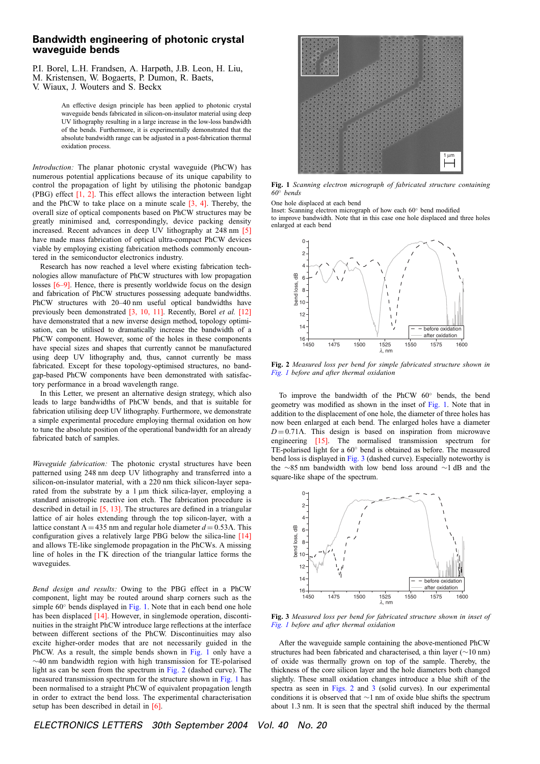## Bandwidth engineering of photonic crystal waveguide bends

P.I. Borel, L.H. Frandsen, A. Harpøth, J.B. Leon, H. Liu,

M. Kristensen, W. Bogaerts, P. Dumon, R. Baets,

An effective design principle has been applied to photonic crystal waveguide bends fabricated in silicon-on-insulator material using deep UV lithography resulting in a large increase in the low-loss bandwidth of the bends. Furthermore, it is experimentally demonstrated that the absolute bandwidth range can be adjusted in a post-fabrication thermal oxidation process.

Introduction: The planar photonic crystal waveguide (PhCW) has numerous potential applications because of its unique capability to control the propagation of light by utilising the photonic bandgap (PBG) effect  $[1, 2]$ . This effect allows the interaction between light and the PhCW to take place on a minute scale [3, 4]. Thereby, the overall size of optical components based on PhCW structures may be greatly minimised and, correspondingly, device packing density increased. Recent advances in deep UV lithography at 248 nm [5] have made mass fabrication of optical ultra-compact PhCW devices viable by employing existing fabrication methods commonly encountered in the semiconductor electronics industry.

Research has now reached a level where existing fabrication technologies allow manufacture of PhCW structures with low propagation losses [6–9]. Hence, there is presently worldwide focus on the design and fabrication of PhCW structures possessing adequate bandwidths. PhCW structures with 20–40 nm useful optical bandwidths have previously been demonstrated [3, 10, 11]. Recently, Borel et al. [12] have demonstrated that a new inverse design method, topology optimisation, can be utilised to dramatically increase the bandwidth of a PhCW component. However, some of the holes in these components have special sizes and shapes that currently cannot be manufactured using deep UV lithography and, thus, cannot currently be mass fabricated. Except for these topology-optimised structures, no bandgap-based PhCW components have been demonstrated with satisfactory performance in a broad wavelength range.

In this Letter, we present an alternative design strategy, which also leads to large bandwidths of PhCW bends, and that is suitable for fabrication utilising deep UV lithography. Furthermore, we demonstrate a simple experimental procedure employing thermal oxidation on how to tune the absolute position of the operational bandwidth for an already fabricated batch of samples.

Waveguide fabrication: The photonic crystal structures have been patterned using 248 nm deep UV lithography and transferred into a silicon-on-insulator material, with a 220 nm thick silicon-layer separated from the substrate by a 1 µm thick silica-layer, employing a standard anisotropic reactive ion etch. The fabrication procedure is described in detail in [5, 13]. The structures are defined in a triangular lattice of air holes extending through the top silicon-layer, with a lattice constant  $\Lambda = 435$  nm and regular hole diameter  $d = 0.53\text{Å}$ . This configuration gives a relatively large PBG below the silica-line [14] and allows TE-like singlemode propagation in the PhCWs. A missing line of holes in the GK direction of the triangular lattice forms the waveguides.

Bend design and results: Owing to the PBG effect in a PhCW component, light may be routed around sharp corners such as the simple  $60^\circ$  bends displayed in Fig. 1. Note that in each bend one hole has been displaced [14]. However, in singlemode operation, discontinuities in the straight PhCW introduce large reflections at the interface between different sections of the PhCW. Discontinuities may also excite higher-order modes that are not necessarily guided in the PhCW. As a result, the simple bends shown in Fig. 1 only have a  $\sim$ 40 nm bandwidth region with high transmission for TE-polarised light as can be seen from the spectrum in Fig. 2 (dashed curve). The measured transmission spectrum for the structure shown in Fig. 1 has been normalised to a straight PhCW of equivalent propagation length in order to extract the bend loss. The experimental characterisation setup has been described in detail in [6].



Fig. 1 Scanning electron micrograph of fabricated structure containing  $60^\circ$  bends

One hole displaced at each bend

Inset: Scanning electron micrograph of how each  $60^\circ$  bend modified to improve bandwidth. Note that in this case one hole displaced and three holes enlarged at each bend



Fig. 2 Measured loss per bend for simple fabricated structure shown in Fig. 1 before and after thermal oxidation

To improve the bandwidth of the PhCW  $60^\circ$  bends, the bend geometry was modified as shown in the inset of Fig. 1. Note that in addition to the displacement of one hole, the diameter of three holes has now been enlarged at each bend. The enlarged holes have a diameter  $D = 0.71$ A. This design is based on inspiration from microwave engineering [15]. The normalised transmission spectrum for TE-polarised light for a  $60^{\circ}$  bend is obtained as before. The measured bend loss is displayed in Fig. 3 (dashed curve). Especially noteworthy is the  $\sim$ 85 nm bandwidth with low bend loss around  $\sim$ 1 dB and the square-like shape of the spectrum.



Fig. 3 Measured loss per bend for fabricated structure shown in inset of Fig. 1 before and after thermal oxidation

After the waveguide sample containing the above-mentioned PhCW structures had been fabricated and characterised, a thin layer  $(\sim10 \text{ nm})$ of oxide was thermally grown on top of the sample. Thereby, the thickness of the core silicon layer and the hole diameters both changed slightly. These small oxidation changes introduce a blue shift of the spectra as seen in Figs. 2 and 3 (solid curves). In our experimental conditions it is observed that  $\sim$ 1 nm of oxide blue shifts the spectrum about 1.3 nm. It is seen that the spectral shift induced by the thermal

V. Wiaux, J. Wouters and S. Beckx